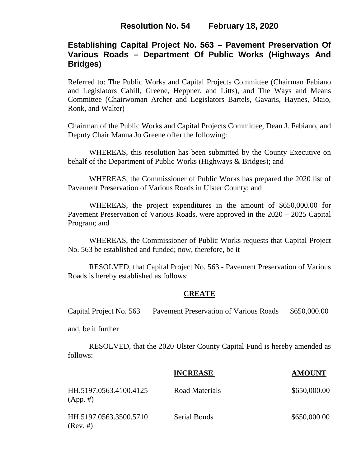# **Establishing Capital Project No. 563 – Pavement Preservation Of Various Roads – Department Of Public Works (Highways And Bridges)**

Referred to: The Public Works and Capital Projects Committee (Chairman Fabiano and Legislators Cahill, Greene, Heppner, and Litts), and The Ways and Means Committee (Chairwoman Archer and Legislators Bartels, Gavaris, Haynes, Maio, Ronk, and Walter)

Chairman of the Public Works and Capital Projects Committee, Dean J. Fabiano, and Deputy Chair Manna Jo Greene offer the following:

WHEREAS, this resolution has been submitted by the County Executive on behalf of the Department of Public Works (Highways & Bridges); and

WHEREAS, the Commissioner of Public Works has prepared the 2020 list of Pavement Preservation of Various Roads in Ulster County; and

WHEREAS, the project expenditures in the amount of \$650,000.00 for Pavement Preservation of Various Roads, were approved in the 2020 – 2025 Capital Program; and

WHEREAS, the Commissioner of Public Works requests that Capital Project No. 563 be established and funded; now, therefore, be it

RESOLVED, that Capital Project No. 563 - Pavement Preservation of Various Roads is hereby established as follows:

## **CREATE**

Capital Project No. 563 Pavement Preservation of Various Roads \$650,000.00

and, be it further

RESOLVED, that the 2020 Ulster County Capital Fund is hereby amended as follows:

|                                       | <b>INCREASE</b>     | <b>AMOUNT</b> |
|---------------------------------------|---------------------|---------------|
| HH.5197.0563.4100.4125<br>$(App. \#)$ | Road Materials      | \$650,000.00  |
| HH.5197.0563.3500.5710<br>$(Rev. \#)$ | <b>Serial Bonds</b> | \$650,000.00  |